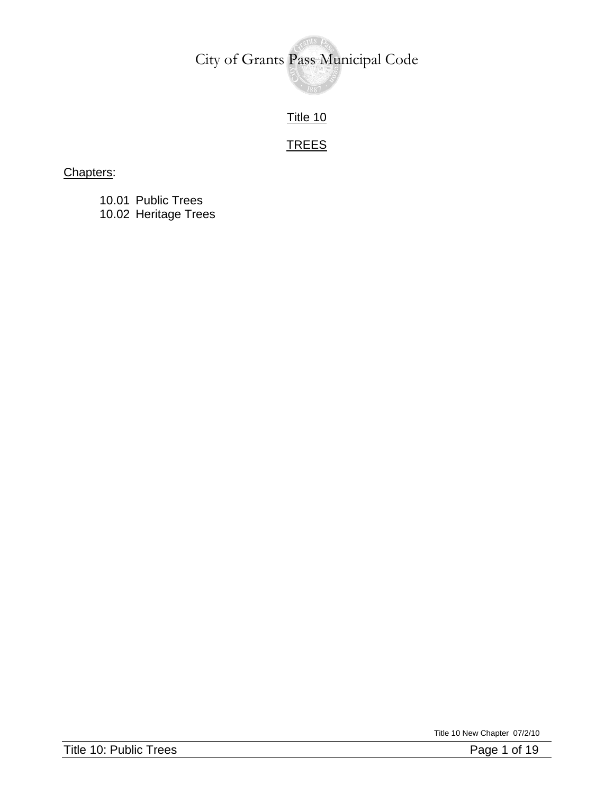Title 10

### **TREES**

#### Chapters:

10.01 Public Trees 10.02 Heritage Trees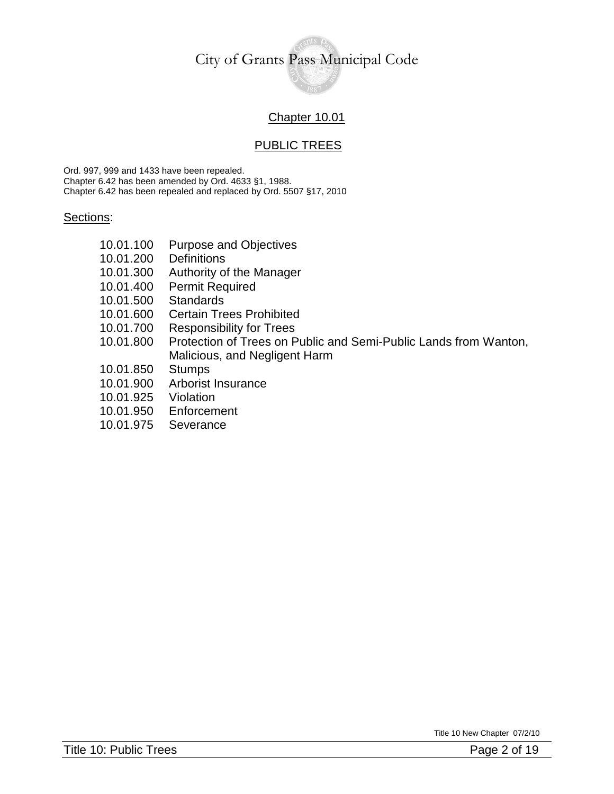#### Chapter 10.01

#### PUBLIC TREES

Ord. 997, 999 and 1433 have been repealed. Chapter 6.42 has been amended by Ord. 4633 §1, 1988. Chapter 6.42 has been repealed and replaced by Ord. 5507 §17, 2010

#### Sections:

- 10.01.100 Purpose and Objectives
- 10.01.200 Definitions
- 10.01.300 Authority of the Manager
- 10.01.400 Permit Required
- 10.01.500 Standards
- 10.01.600 Certain Trees Prohibited
- 10.01.700 Responsibility for Trees
- 10.01.800 Protection of Trees on Public and Semi-Public Lands from Wanton, Malicious, and Negligent Harm
- 10.01.850 Stumps
- 10.01.900 Arborist Insurance
- 10.01.925 Violation
- 10.01.950 Enforcement
- 10.01.975 Severance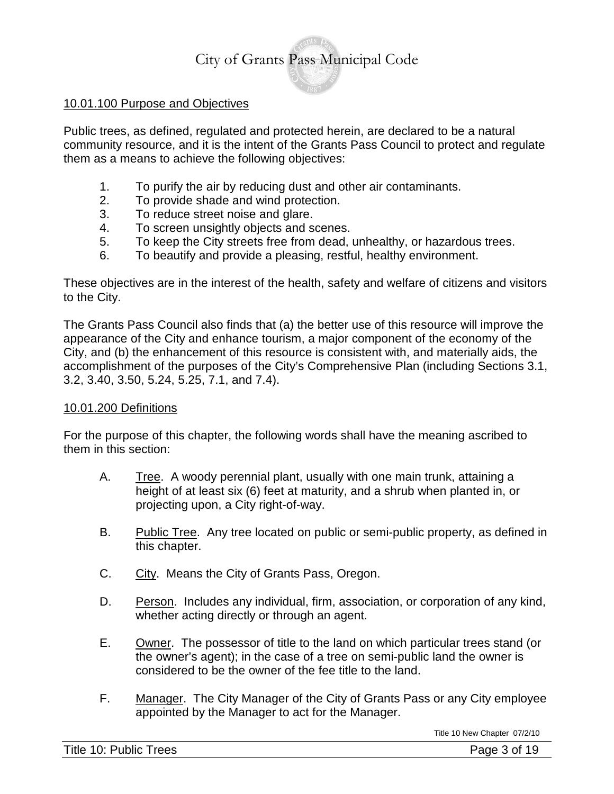#### 10.01.100 Purpose and Objectives

Public trees, as defined, regulated and protected herein, are declared to be a natural community resource, and it is the intent of the Grants Pass Council to protect and regulate them as a means to achieve the following objectives:

- 1. To purify the air by reducing dust and other air contaminants.
- 2. To provide shade and wind protection.
- 3. To reduce street noise and glare.
- 4. To screen unsightly objects and scenes.
- 5. To keep the City streets free from dead, unhealthy, or hazardous trees.
- 6. To beautify and provide a pleasing, restful, healthy environment.

These objectives are in the interest of the health, safety and welfare of citizens and visitors to the City.

The Grants Pass Council also finds that (a) the better use of this resource will improve the appearance of the City and enhance tourism, a major component of the economy of the City, and (b) the enhancement of this resource is consistent with, and materially aids, the accomplishment of the purposes of the City's Comprehensive Plan (including Sections 3.1, 3.2, 3.40, 3.50, 5.24, 5.25, 7.1, and 7.4).

#### 10.01.200 Definitions

For the purpose of this chapter, the following words shall have the meaning ascribed to them in this section:

- A. Tree. A woody perennial plant, usually with one main trunk, attaining a height of at least six (6) feet at maturity, and a shrub when planted in, or projecting upon, a City right-of-way.
- B. Public Tree. Any tree located on public or semi-public property, as defined in this chapter.
- C. City. Means the City of Grants Pass, Oregon.
- D. Person. Includes any individual, firm, association, or corporation of any kind, whether acting directly or through an agent.
- E. Owner. The possessor of title to the land on which particular trees stand (or the owner's agent); in the case of a tree on semi-public land the owner is considered to be the owner of the fee title to the land.
- F. Manager. The City Manager of the City of Grants Pass or any City employee appointed by the Manager to act for the Manager.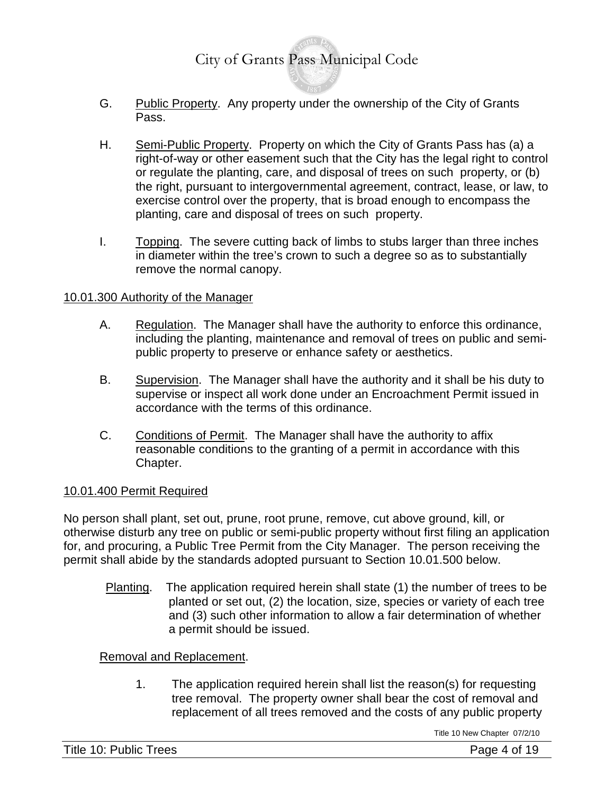- G. Public Property. Any property under the ownership of the City of Grants Pass.
- H. Semi-Public Property. Property on which the City of Grants Pass has (a) a right-of-way or other easement such that the City has the legal right to control or regulate the planting, care, and disposal of trees on such property, or (b) the right, pursuant to intergovernmental agreement, contract, lease, or law, to exercise control over the property, that is broad enough to encompass the planting, care and disposal of trees on such property.
- I. Topping. The severe cutting back of limbs to stubs larger than three inches in diameter within the tree's crown to such a degree so as to substantially remove the normal canopy.

#### 10.01.300 Authority of the Manager

- A. Regulation. The Manager shall have the authority to enforce this ordinance, including the planting, maintenance and removal of trees on public and semipublic property to preserve or enhance safety or aesthetics.
- B. Supervision. The Manager shall have the authority and it shall be his duty to supervise or inspect all work done under an Encroachment Permit issued in accordance with the terms of this ordinance.
- C. Conditions of Permit. The Manager shall have the authority to affix reasonable conditions to the granting of a permit in accordance with this Chapter.

#### 10.01.400 Permit Required

No person shall plant, set out, prune, root prune, remove, cut above ground, kill, or otherwise disturb any tree on public or semi-public property without first filing an application for, and procuring, a Public Tree Permit from the City Manager. The person receiving the permit shall abide by the standards adopted pursuant to Section 10.01.500 below.

Planting. The application required herein shall state (1) the number of trees to be planted or set out, (2) the location, size, species or variety of each tree and (3) such other information to allow a fair determination of whether a permit should be issued.

#### Removal and Replacement.

1. The application required herein shall list the reason(s) for requesting tree removal. The property owner shall bear the cost of removal and replacement of all trees removed and the costs of any public property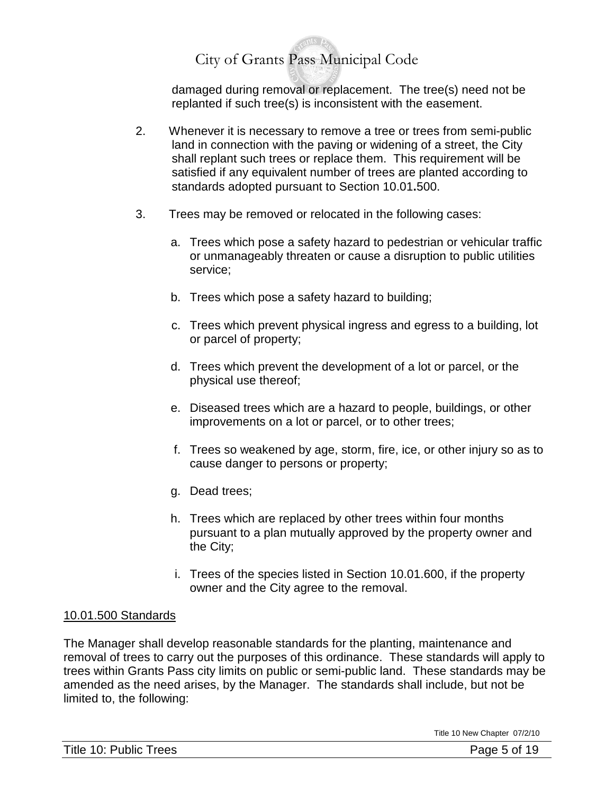damaged during removal or replacement. The tree(s) need not be replanted if such tree(s) is inconsistent with the easement.

- 2. Whenever it is necessary to remove a tree or trees from semi-public land in connection with the paving or widening of a street, the City shall replant such trees or replace them. This requirement will be satisfied if any equivalent number of trees are planted according to standards adopted pursuant to Section 10.01**.**500.
- 3. Trees may be removed or relocated in the following cases:
	- a. Trees which pose a safety hazard to pedestrian or vehicular traffic or unmanageably threaten or cause a disruption to public utilities service;
	- b. Trees which pose a safety hazard to building;
	- c. Trees which prevent physical ingress and egress to a building, lot or parcel of property;
	- d. Trees which prevent the development of a lot or parcel, or the physical use thereof;
	- e. Diseased trees which are a hazard to people, buildings, or other improvements on a lot or parcel, or to other trees;
	- f. Trees so weakened by age, storm, fire, ice, or other injury so as to cause danger to persons or property;
	- g. Dead trees;
	- h. Trees which are replaced by other trees within four months pursuant to a plan mutually approved by the property owner and the City;
	- i. Trees of the species listed in Section 10.01.600, if the property owner and the City agree to the removal.

#### 10.01.500 Standards

The Manager shall develop reasonable standards for the planting, maintenance and removal of trees to carry out the purposes of this ordinance. These standards will apply to trees within Grants Pass city limits on public or semi-public land. These standards may be amended as the need arises, by the Manager. The standards shall include, but not be limited to, the following: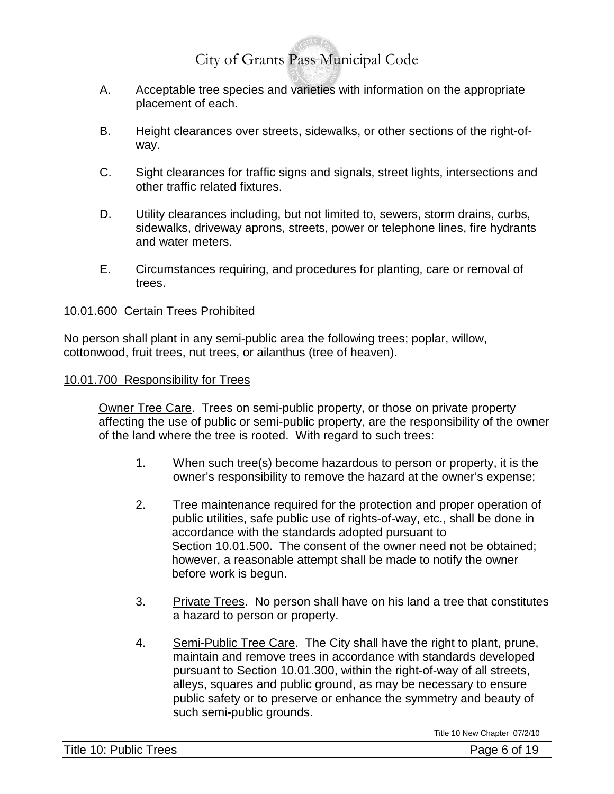- A. Acceptable tree species and varieties with information on the appropriate placement of each.
- B. Height clearances over streets, sidewalks, or other sections of the right-ofway.
- C. Sight clearances for traffic signs and signals, street lights, intersections and other traffic related fixtures.
- D. Utility clearances including, but not limited to, sewers, storm drains, curbs, sidewalks, driveway aprons, streets, power or telephone lines, fire hydrants and water meters.
- E. Circumstances requiring, and procedures for planting, care or removal of trees.

#### 10.01.600 Certain Trees Prohibited

No person shall plant in any semi-public area the following trees; poplar, willow, cottonwood, fruit trees, nut trees, or ailanthus (tree of heaven).

#### 10.01.700 Responsibility for Trees

Owner Tree Care. Trees on semi-public property, or those on private property affecting the use of public or semi-public property, are the responsibility of the owner of the land where the tree is rooted. With regard to such trees:

- 1. When such tree(s) become hazardous to person or property, it is the owner's responsibility to remove the hazard at the owner's expense;
- 2. Tree maintenance required for the protection and proper operation of public utilities, safe public use of rights-of-way, etc., shall be done in accordance with the standards adopted pursuant to Section 10.01.500. The consent of the owner need not be obtained; however, a reasonable attempt shall be made to notify the owner before work is begun.
- 3. Private Trees. No person shall have on his land a tree that constitutes a hazard to person or property.
- 4. Semi-Public Tree Care. The City shall have the right to plant, prune, maintain and remove trees in accordance with standards developed pursuant to Section 10.01.300, within the right-of-way of all streets, alleys, squares and public ground, as may be necessary to ensure public safety or to preserve or enhance the symmetry and beauty of such semi-public grounds.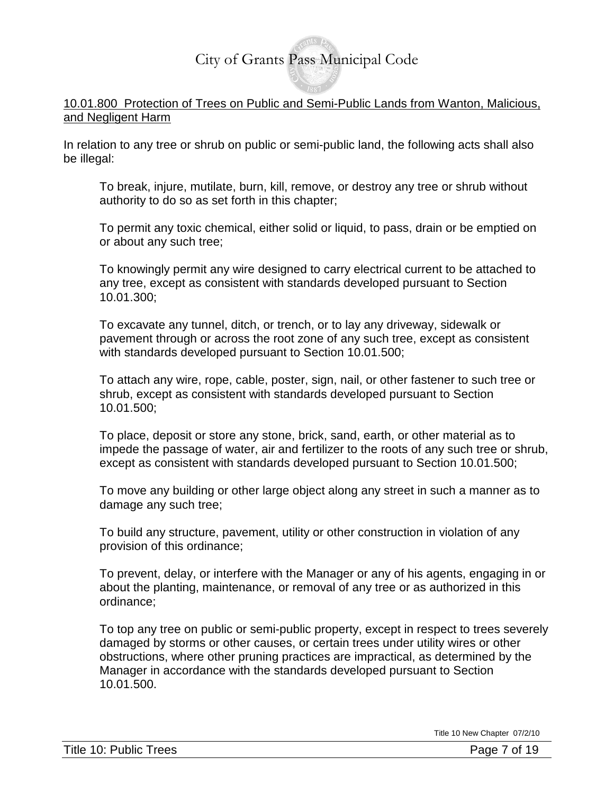#### 10.01.800 Protection of Trees on Public and Semi-Public Lands from Wanton, Malicious, and Negligent Harm

In relation to any tree or shrub on public or semi-public land, the following acts shall also be illegal:

To break, injure, mutilate, burn, kill, remove, or destroy any tree or shrub without authority to do so as set forth in this chapter;

To permit any toxic chemical, either solid or liquid, to pass, drain or be emptied on or about any such tree;

To knowingly permit any wire designed to carry electrical current to be attached to any tree, except as consistent with standards developed pursuant to Section 10.01.300;

To excavate any tunnel, ditch, or trench, or to lay any driveway, sidewalk or pavement through or across the root zone of any such tree, except as consistent with standards developed pursuant to Section 10.01.500;

To attach any wire, rope, cable, poster, sign, nail, or other fastener to such tree or shrub, except as consistent with standards developed pursuant to Section 10.01.500;

To place, deposit or store any stone, brick, sand, earth, or other material as to impede the passage of water, air and fertilizer to the roots of any such tree or shrub, except as consistent with standards developed pursuant to Section 10.01.500;

To move any building or other large object along any street in such a manner as to damage any such tree;

To build any structure, pavement, utility or other construction in violation of any provision of this ordinance;

To prevent, delay, or interfere with the Manager or any of his agents, engaging in or about the planting, maintenance, or removal of any tree or as authorized in this ordinance;

To top any tree on public or semi-public property, except in respect to trees severely damaged by storms or other causes, or certain trees under utility wires or other obstructions, where other pruning practices are impractical, as determined by the Manager in accordance with the standards developed pursuant to Section 10.01.500.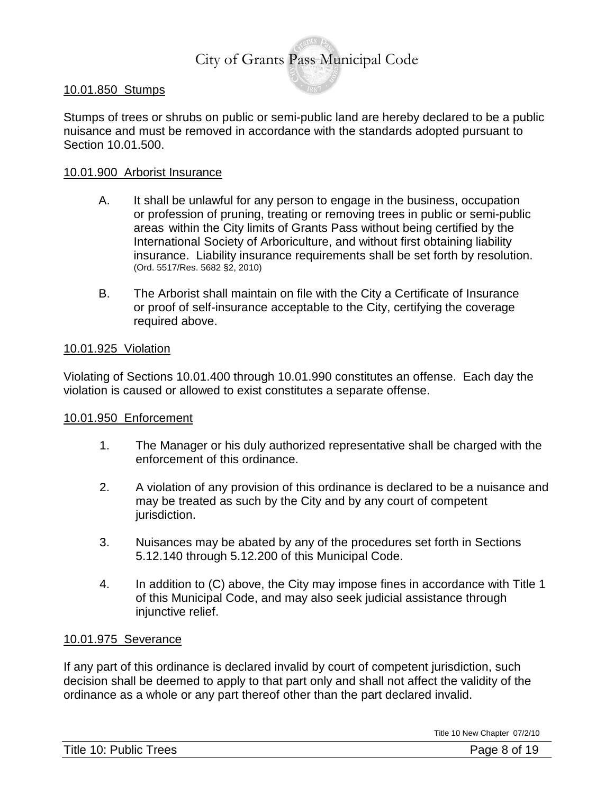#### 10.01.850 Stumps

Stumps of trees or shrubs on public or semi-public land are hereby declared to be a public nuisance and must be removed in accordance with the standards adopted pursuant to Section 10.01.500.

#### 10.01.900 Arborist Insurance

- A. It shall be unlawful for any person to engage in the business, occupation or profession of pruning, treating or removing trees in public or semi-public areas within the City limits of Grants Pass without being certified by the International Society of Arboriculture, and without first obtaining liability insurance. Liability insurance requirements shall be set forth by resolution. (Ord. 5517/Res. 5682 §2, 2010)
- B. The Arborist shall maintain on file with the City a Certificate of Insurance or proof of self-insurance acceptable to the City, certifying the coverage required above.

#### 10.01.925 Violation

Violating of Sections 10.01.400 through 10.01.990 constitutes an offense. Each day the violation is caused or allowed to exist constitutes a separate offense.

#### 10.01.950 Enforcement

- 1. The Manager or his duly authorized representative shall be charged with the enforcement of this ordinance.
- 2. A violation of any provision of this ordinance is declared to be a nuisance and may be treated as such by the City and by any court of competent jurisdiction.
- 3. Nuisances may be abated by any of the procedures set forth in Sections 5.12.140 through 5.12.200 of this Municipal Code.
- 4. In addition to (C) above, the City may impose fines in accordance with Title 1 of this Municipal Code, and may also seek judicial assistance through injunctive relief.

#### 10.01.975 Severance

If any part of this ordinance is declared invalid by court of competent jurisdiction, such decision shall be deemed to apply to that part only and shall not affect the validity of the ordinance as a whole or any part thereof other than the part declared invalid.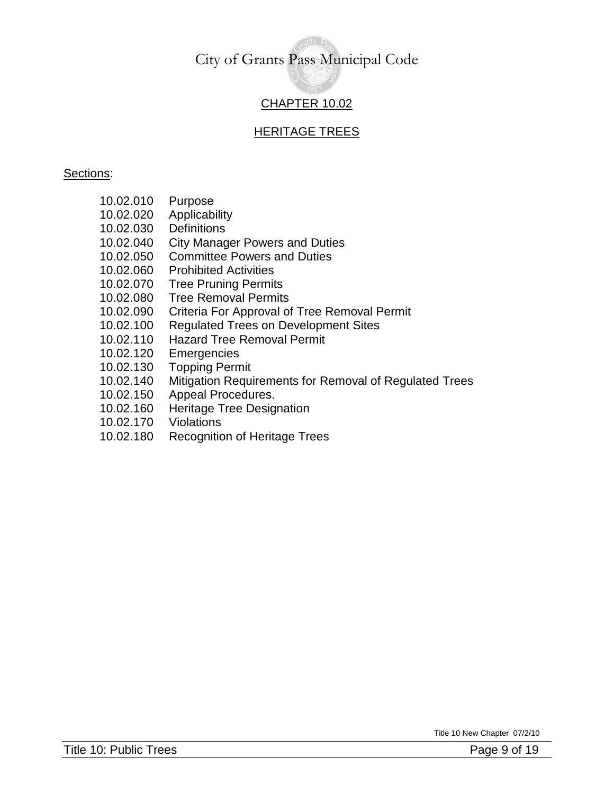### CHAPTER 10.02

#### HERITAGE TREES

#### Sections:

- 10.02.010 Purpose
- 10.02.020 Applicabilit[y](http://www.ci.santa-cruz.ca.us/pr/parksrec/TreePrograms/treeord.html#010#010)
- 10.02.030 [Definitions](http://www.ci.santa-cruz.ca.us/pr/parksrec/TreePrograms/treeord.html#010#010)
- 10.02.040 [City Manager Powers and Duties](http://www.ci.santa-cruz.ca.us/pr/parksrec/TreePrograms/treeord.html#020#020)
- 10.02.050 [Committee Powers and Duties](http://www.ci.santa-cruz.ca.us/pr/parksrec/TreePrograms/treeord.html#030#030)
- 10.02.060 [Prohibited Activities](http://www.ci.santa-cruz.ca.us/pr/parksrec/TreePrograms/treeord.html#050#050)
- 10.02.070 [Tree Pruning Permits](http://www.ci.santa-cruz.ca.us/pr/parksrec/TreePrograms/treeord.html#060#060)
- 10.02.080 Tree Removal Permits
- 10.02.090 Criteria For Approval of Tree Removal Permit
- 10.02.100 Regulated Trees on Development Sites
- 10.02.110 Hazard Tree Removal Permit
- 10.02.120 Emergencies
- 10.02.130 Topping Permit
- 10.02.140 [Mitigation Requirements for Removal of Regulated Trees](http://www.ci.santa-cruz.ca.us/pr/parksrec/TreePrograms/treeord.html#100#100)
- 10.02.150 Appeal Procedures.
- 10.02.160 Heritage Tree Designation
- 10.02.170 Violations
- 10.02.180 Recognition of Heritage Trees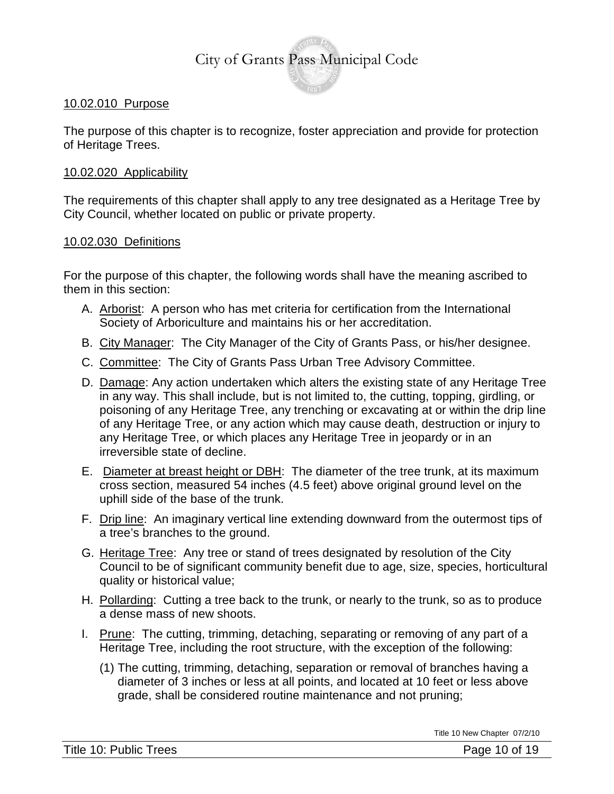#### 10.02.010 Purpose

The purpose of this chapter is to recognize, foster appreciation and provide for protection of Heritage Trees.

#### 10.02.020 Applicability

The requirements of this chapter shall apply to any tree designated as a Heritage Tree by City Council, whether located on public or private property.

#### 10.02.030 Definitions

For the purpose of this chapter, the following words shall have the meaning ascribed to them in this section:

- A. Arborist: A person who has met criteria for certification from the International Society of Arboriculture and maintains his or her accreditation.
- B. City Manager: The City Manager of the City of Grants Pass, or his/her designee.
- C. Committee: The City of Grants Pass Urban Tree Advisory Committee.
- D. Damage: Any action undertaken which alters the existing state of any Heritage Tree in any way. This shall include, but is not limited to, the cutting, topping, girdling, or poisoning of any Heritage Tree, any trenching or excavating at or within the drip line of any Heritage Tree, or any action which may cause death, destruction or injury to any Heritage Tree, or which places any Heritage Tree in jeopardy or in an irreversible state of decline.
- E. Diameter at breast height or DBH: The diameter of the tree trunk, at its maximum cross section, measured 54 inches (4.5 feet) above original ground level on the uphill side of the base of the trunk.
- F. Drip line: An imaginary vertical line extending downward from the outermost tips of a tree's branches to the ground.
- G. Heritage Tree: Any tree or stand of trees designated by resolution of the City Council to be of significant community benefit due to age, size, species, horticultural quality or historical value;
- H. Pollarding: Cutting a tree back to the trunk, or nearly to the trunk, so as to produce a dense mass of new shoots.
- I. Prune: The cutting, trimming, detaching, separating or removing of any part of a Heritage Tree, including the root structure, with the exception of the following:
	- (1) The cutting, trimming, detaching, separation or removal of branches having a diameter of 3 inches or less at all points, and located at 10 feet or less above grade, shall be considered routine maintenance and not pruning;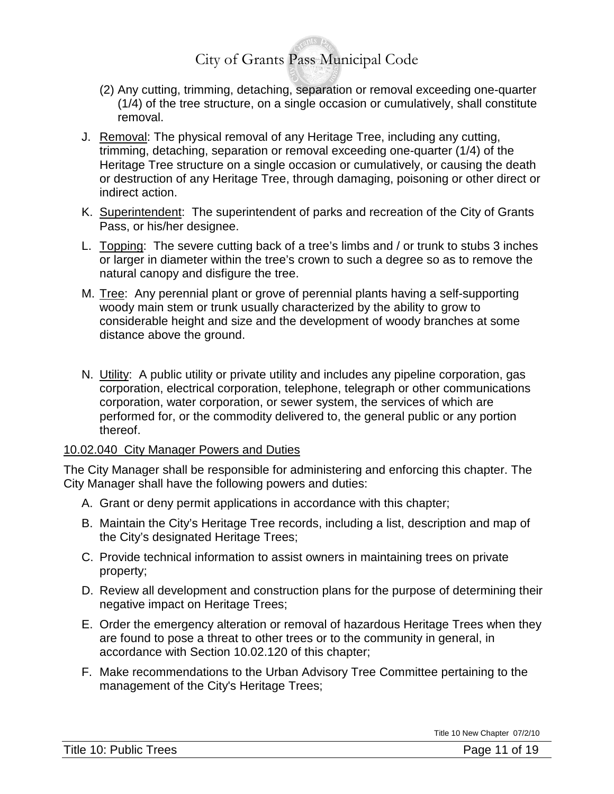- (2) Any cutting, trimming, detaching, separation or removal exceeding one-quarter (1/4) of the tree structure, on a single occasion or cumulatively, shall constitute removal.
- J. Removal: The physical removal of any Heritage Tree, including any cutting, trimming, detaching, separation or removal exceeding one-quarter (1/4) of the Heritage Tree structure on a single occasion or cumulatively, or causing the death or destruction of any Heritage Tree, through damaging, poisoning or other direct or indirect action.
- K. Superintendent: The superintendent of parks and recreation of the City of Grants Pass, or his/her designee.
- L. Topping: The severe cutting back of a tree's limbs and / or trunk to stubs 3 inches or larger in diameter within the tree's crown to such a degree so as to remove the natural canopy and disfigure the tree.
- M. Tree: Any perennial plant or grove of perennial plants having a self-supporting woody main stem or trunk usually characterized by the ability to grow to considerable height and size and the development of woody branches at some distance above the ground.
- N. Utility: A public utility or private utility and includes any pipeline corporation, gas corporation, electrical corporation, telephone, telegraph or other communications corporation, water corporation, or sewer system, the services of which are performed for, or the commodity delivered to, the general public or any portion thereof.

#### 10.02.040 City Manager Powers and Duties

The City Manager shall be responsible for administering and enforcing this chapter. The City Manager shall have the following powers and duties:

- A. Grant or deny permit applications in accordance with this chapter;
- B. Maintain the City's Heritage Tree records, including a list, description and map of the City's designated Heritage Trees;
- C. Provide technical information to assist owners in maintaining trees on private property;
- D. Review all development and construction plans for the purpose of determining their negative impact on Heritage Trees;
- E. Order the emergency alteration or removal of hazardous Heritage Trees when they are found to pose a threat to other trees or to the community in general, in accordance with Section 10.02.120 of this chapter;
- F. Make recommendations to the Urban Advisory Tree Committee pertaining to the management of the City's Heritage Trees;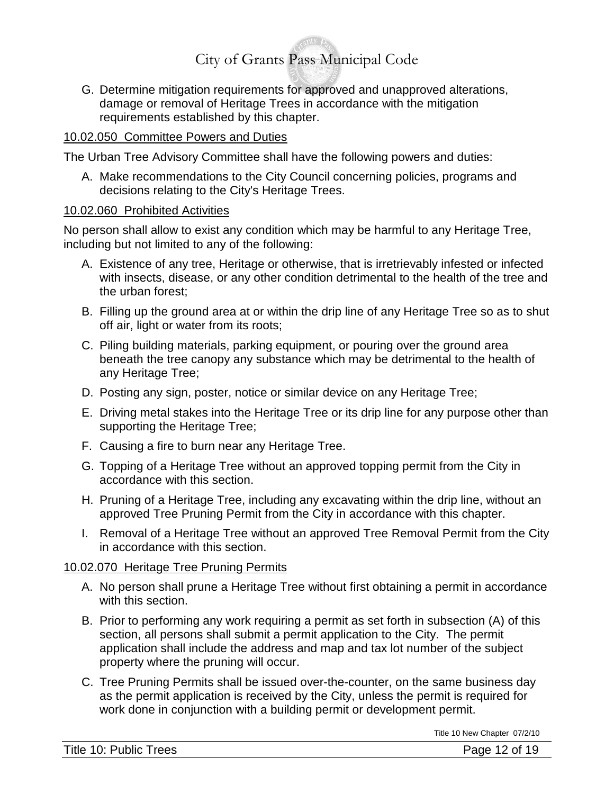G. Determine mitigation requirements for approved and unapproved alterations, damage or removal of Heritage Trees in accordance with the mitigation requirements established by this chapter.

#### 10.02.050 Committee Powers and Duties

The Urban Tree Advisory Committee shall have the following powers and duties:

A. Make recommendations to the City Council concerning policies, programs and decisions relating to the City's Heritage Trees.

#### 10.02.060 Prohibited Activities

No person shall allow to exist any condition which may be harmful to any Heritage Tree, including but not limited to any of the following:

- A. Existence of any tree, Heritage or otherwise, that is irretrievably infested or infected with insects, disease, or any other condition detrimental to the health of the tree and the urban forest;
- B. Filling up the ground area at or within the drip line of any Heritage Tree so as to shut off air, light or water from its roots;
- C. Piling building materials, parking equipment, or pouring over the ground area beneath the tree canopy any substance which may be detrimental to the health of any Heritage Tree;
- D. Posting any sign, poster, notice or similar device on any Heritage Tree;
- E. Driving metal stakes into the Heritage Tree or its drip line for any purpose other than supporting the Heritage Tree;
- F. Causing a fire to burn near any Heritage Tree.
- G. Topping of a Heritage Tree without an approved topping permit from the City in accordance with this section.
- H. Pruning of a Heritage Tree, including any excavating within the drip line, without an approved Tree Pruning Permit from the City in accordance with this chapter.
- I. Removal of a Heritage Tree without an approved Tree Removal Permit from the City in accordance with this section.

#### 10.02.070 Heritage Tree Pruning Permits

- A. No person shall prune a Heritage Tree without first obtaining a permit in accordance with this section.
- B. Prior to performing any work requiring a permit as set forth in subsection (A) of this section, all persons shall submit a permit application to the City. The permit application shall include the address and map and tax lot number of the subject property where the pruning will occur.
- C. Tree Pruning Permits shall be issued over-the-counter, on the same business day as the permit application is received by the City, unless the permit is required for work done in conjunction with a building permit or development permit.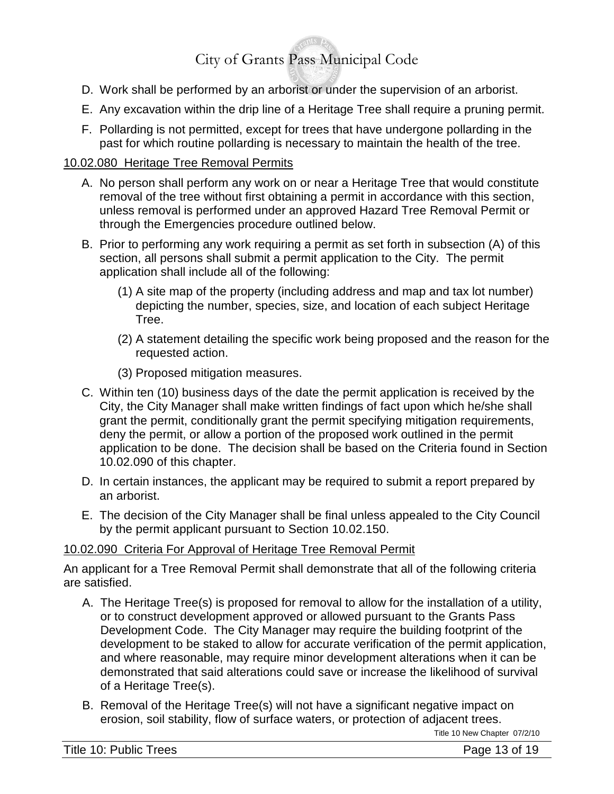- D. Work shall be performed by an arborist or under the supervision of an arborist.
- E. Any excavation within the drip line of a Heritage Tree shall require a pruning permit.
- F. Pollarding is not permitted, except for trees that have undergone pollarding in the past for which routine pollarding is necessary to maintain the health of the tree.

#### 10.02.080 Heritage Tree Removal Permits

- A. No person shall perform any work on or near a Heritage Tree that would constitute removal of the tree without first obtaining a permit in accordance with this section, unless removal is performed under an approved Hazard Tree Removal Permit or through the Emergencies procedure outlined below.
- B. Prior to performing any work requiring a permit as set forth in subsection (A) of this section, all persons shall submit a permit application to the City. The permit application shall include all of the following:
	- (1) A site map of the property (including address and map and tax lot number) depicting the number, species, size, and location of each subject Heritage Tree.
	- (2) A statement detailing the specific work being proposed and the reason for the requested action.
	- (3) Proposed mitigation measures.
- C. Within ten (10) business days of the date the permit application is received by the City, the City Manager shall make written findings of fact upon which he/she shall grant the permit, conditionally grant the permit specifying mitigation requirements, deny the permit, or allow a portion of the proposed work outlined in the permit application to be done. The decision shall be based on the Criteria found in Section 10.02.090 of this chapter.
- D. In certain instances, the applicant may be required to submit a report prepared by an arborist.
- E. The decision of the City Manager shall be final unless appealed to the City Council by the permit applicant pursuant to Section 10.02.150.

#### 10.02.090 Criteria For Approval of Heritage Tree Removal Permit

An applicant for a Tree Removal Permit shall demonstrate that all of the following criteria are satisfied.

- A. The Heritage Tree(s) is proposed for removal to allow for the installation of a utility, or to construct development approved or allowed pursuant to the Grants Pass Development Code. The City Manager may require the building footprint of the development to be staked to allow for accurate verification of the permit application, and where reasonable, may require minor development alterations when it can be demonstrated that said alterations could save or increase the likelihood of survival of a Heritage Tree(s).
- B. Removal of the Heritage Tree(s) will not have a significant negative impact on erosion, soil stability, flow of surface waters, or protection of adjacent trees.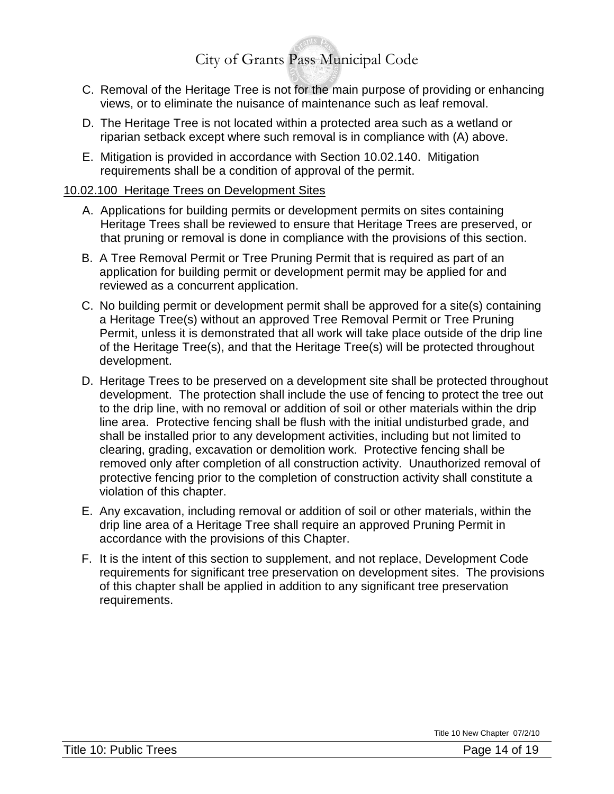- C. Removal of the Heritage Tree is not for the main purpose of providing or enhancing views, or to eliminate the nuisance of maintenance such as leaf removal.
- D. The Heritage Tree is not located within a protected area such as a wetland or riparian setback except where such removal is in compliance with (A) above.
- E. Mitigation is provided in accordance with Section 10.02.140. Mitigation requirements shall be a condition of approval of the permit.

#### 10.02.100 Heritage Trees on Development Sites

- A. Applications for building permits or development permits on sites containing Heritage Trees shall be reviewed to ensure that Heritage Trees are preserved, or that pruning or removal is done in compliance with the provisions of this section.
- B. A Tree Removal Permit or Tree Pruning Permit that is required as part of an application for building permit or development permit may be applied for and reviewed as a concurrent application.
- C. No building permit or development permit shall be approved for a site(s) containing a Heritage Tree(s) without an approved Tree Removal Permit or Tree Pruning Permit, unless it is demonstrated that all work will take place outside of the drip line of the Heritage Tree(s), and that the Heritage Tree(s) will be protected throughout development.
- D. Heritage Trees to be preserved on a development site shall be protected throughout development. The protection shall include the use of fencing to protect the tree out to the drip line, with no removal or addition of soil or other materials within the drip line area. Protective fencing shall be flush with the initial undisturbed grade, and shall be installed prior to any development activities, including but not limited to clearing, grading, excavation or demolition work. Protective fencing shall be removed only after completion of all construction activity. Unauthorized removal of protective fencing prior to the completion of construction activity shall constitute a violation of this chapter.
- E. Any excavation, including removal or addition of soil or other materials, within the drip line area of a Heritage Tree shall require an approved Pruning Permit in accordance with the provisions of this Chapter.
- F. It is the intent of this section to supplement, and not replace, Development Code requirements for significant tree preservation on development sites. The provisions of this chapter shall be applied in addition to any significant tree preservation requirements.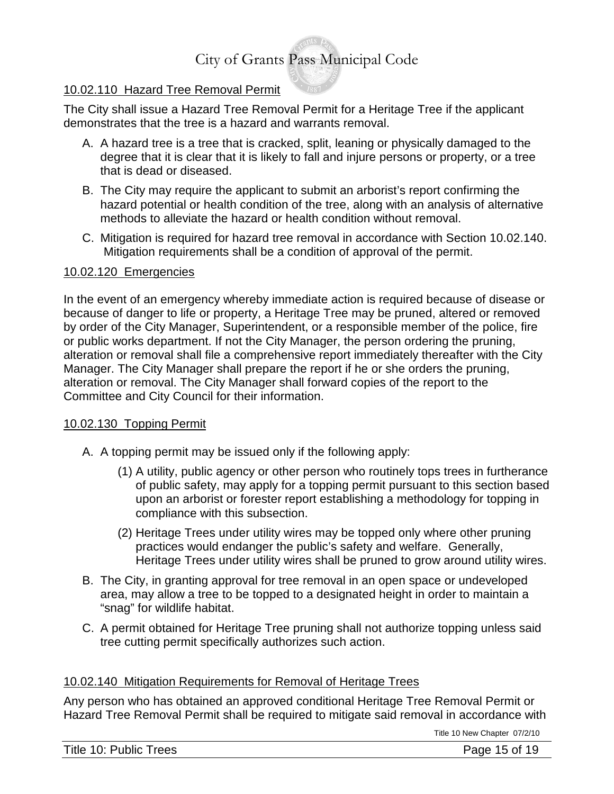#### 10.02.110 Hazard Tree Removal Permit

The City shall issue a Hazard Tree Removal Permit for a Heritage Tree if the applicant demonstrates that the tree is a hazard and warrants removal.

- A. A hazard tree is a tree that is cracked, split, leaning or physically damaged to the degree that it is clear that it is likely to fall and injure persons or property, or a tree that is dead or diseased.
- B. The City may require the applicant to submit an arborist's report confirming the hazard potential or health condition of the tree, along with an analysis of alternative methods to alleviate the hazard or health condition without removal.
- C. Mitigation is required for hazard tree removal in accordance with Section 10.02.140. Mitigation requirements shall be a condition of approval of the permit.

#### 10.02.120 Emergencies

In the event of an emergency whereby immediate action is required because of disease or because of danger to life or property, a Heritage Tree may be pruned, altered or removed by order of the City Manager, Superintendent, or a responsible member of the police, fire or public works department. If not the City Manager, the person ordering the pruning, alteration or removal shall file a comprehensive report immediately thereafter with the City Manager. The City Manager shall prepare the report if he or she orders the pruning, alteration or removal. The City Manager shall forward copies of the report to the Committee and City Council for their information.

#### 10.02.130 Topping Permit

- A. A topping permit may be issued only if the following apply:
	- (1) A utility, public agency or other person who routinely tops trees in furtherance of public safety, may apply for a topping permit pursuant to this section based upon an arborist or forester report establishing a methodology for topping in compliance with this subsection.
	- (2) Heritage Trees under utility wires may be topped only where other pruning practices would endanger the public's safety and welfare. Generally, Heritage Trees under utility wires shall be pruned to grow around utility wires.
- B. The City, in granting approval for tree removal in an open space or undeveloped area, may allow a tree to be topped to a designated height in order to maintain a "snag" for wildlife habitat.
- C. A permit obtained for Heritage Tree pruning shall not authorize topping unless said tree cutting permit specifically authorizes such action.

#### 10.02.140 Mitigation Requirements for Removal of Heritage Trees

Any person who has obtained an approved conditional Heritage Tree Removal Permit or Hazard Tree Removal Permit shall be required to mitigate said removal in accordance with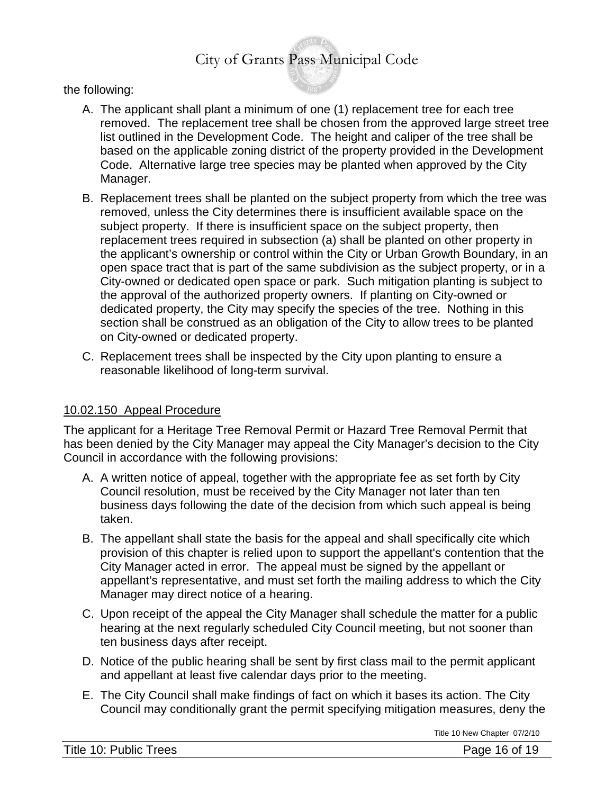the following:

- A. The applicant shall plant a minimum of one (1) replacement tree for each tree removed. The replacement tree shall be chosen from the approved large street tree list outlined in the Development Code. The height and caliper of the tree shall be based on the applicable zoning district of the property provided in the Development Code. Alternative large tree species may be planted when approved by the City Manager.
- B. Replacement trees shall be planted on the subject property from which the tree was removed, unless the City determines there is insufficient available space on the subject property. If there is insufficient space on the subject property, then replacement trees required in subsection (a) shall be planted on other property in the applicant's ownership or control within the City or Urban Growth Boundary, in an open space tract that is part of the same subdivision as the subject property, or in a City-owned or dedicated open space or park. Such mitigation planting is subject to the approval of the authorized property owners. If planting on City-owned or dedicated property, the City may specify the species of the tree. Nothing in this section shall be construed as an obligation of the City to allow trees to be planted on City-owned or dedicated property.
- C. Replacement trees shall be inspected by the City upon planting to ensure a reasonable likelihood of long-term survival.

#### 10.02.150 Appeal Procedure

The applicant for a Heritage Tree Removal Permit or Hazard Tree Removal Permit that has been denied by the City Manager may appeal the City Manager's decision to the City Council in accordance with the following provisions:

- A. A written notice of appeal, together with the appropriate fee as set forth by City Council resolution, must be received by the City Manager not later than ten business days following the date of the decision from which such appeal is being taken.
- B. The appellant shall state the basis for the appeal and shall specifically cite which provision of this chapter is relied upon to support the appellant's contention that the City Manager acted in error. The appeal must be signed by the appellant or appellant's representative, and must set forth the mailing address to which the City Manager may direct notice of a hearing.
- C. Upon receipt of the appeal the City Manager shall schedule the matter for a public hearing at the next regularly scheduled City Council meeting, but not sooner than ten business days after receipt.
- D. Notice of the public hearing shall be sent by first class mail to the permit applicant and appellant at least five calendar days prior to the meeting.
- E. The City Council shall make findings of fact on which it bases its action. The City Council may conditionally grant the permit specifying mitigation measures, deny the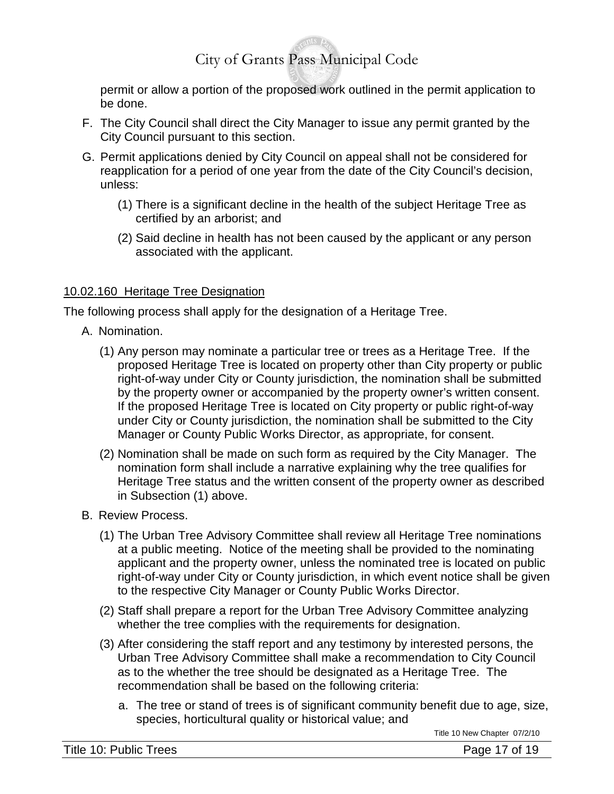permit or allow a portion of the proposed work outlined in the permit application to be done.

- F. The City Council shall direct the City Manager to issue any permit granted by the City Council pursuant to this section.
- G. Permit applications denied by City Council on appeal shall not be considered for reapplication for a period of one year from the date of the City Council's decision, unless:
	- (1) There is a significant decline in the health of the subject Heritage Tree as certified by an arborist; and
	- (2) Said decline in health has not been caused by the applicant or any person associated with the applicant.

#### 10.02.160 Heritage Tree Designation

The following process shall apply for the designation of a Heritage Tree.

- A. Nomination.
	- (1) Any person may nominate a particular tree or trees as a Heritage Tree. If the proposed Heritage Tree is located on property other than City property or public right-of-way under City or County jurisdiction, the nomination shall be submitted by the property owner or accompanied by the property owner's written consent. If the proposed Heritage Tree is located on City property or public right-of-way under City or County jurisdiction, the nomination shall be submitted to the City Manager or County Public Works Director, as appropriate, for consent.
	- (2) Nomination shall be made on such form as required by the City Manager. The nomination form shall include a narrative explaining why the tree qualifies for Heritage Tree status and the written consent of the property owner as described in Subsection (1) above.
- B. Review Process.
	- (1) The Urban Tree Advisory Committee shall review all Heritage Tree nominations at a public meeting. Notice of the meeting shall be provided to the nominating applicant and the property owner, unless the nominated tree is located on public right-of-way under City or County jurisdiction, in which event notice shall be given to the respective City Manager or County Public Works Director.
	- (2) Staff shall prepare a report for the Urban Tree Advisory Committee analyzing whether the tree complies with the requirements for designation.
	- (3) After considering the staff report and any testimony by interested persons, the Urban Tree Advisory Committee shall make a recommendation to City Council as to the whether the tree should be designated as a Heritage Tree. The recommendation shall be based on the following criteria:
		- a. The tree or stand of trees is of significant community benefit due to age, size, species, horticultural quality or historical value; and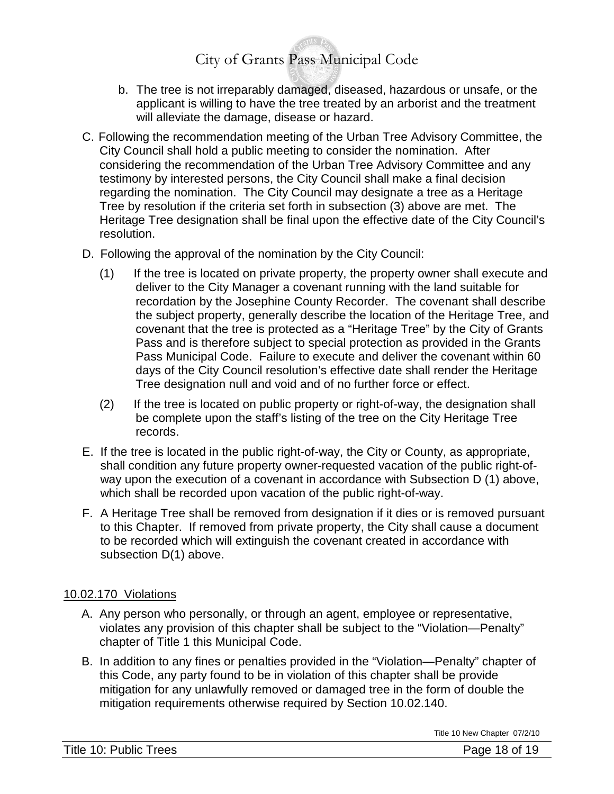- b. The tree is not irreparably damaged, diseased, hazardous or unsafe, or the applicant is willing to have the tree treated by an arborist and the treatment will alleviate the damage, disease or hazard.
- C. Following the recommendation meeting of the Urban Tree Advisory Committee, the City Council shall hold a public meeting to consider the nomination. After considering the recommendation of the Urban Tree Advisory Committee and any testimony by interested persons, the City Council shall make a final decision regarding the nomination. The City Council may designate a tree as a Heritage Tree by resolution if the criteria set forth in subsection (3) above are met. The Heritage Tree designation shall be final upon the effective date of the City Council's resolution.
- D. Following the approval of the nomination by the City Council:
	- (1) If the tree is located on private property, the property owner shall execute and deliver to the City Manager a covenant running with the land suitable for recordation by the Josephine County Recorder. The covenant shall describe the subject property, generally describe the location of the Heritage Tree, and covenant that the tree is protected as a "Heritage Tree" by the City of Grants Pass and is therefore subject to special protection as provided in the Grants Pass Municipal Code. Failure to execute and deliver the covenant within 60 days of the City Council resolution's effective date shall render the Heritage Tree designation null and void and of no further force or effect.
	- (2) If the tree is located on public property or right-of-way, the designation shall be complete upon the staff's listing of the tree on the City Heritage Tree records.
- E. If the tree is located in the public right-of-way, the City or County, as appropriate, shall condition any future property owner-requested vacation of the public right-ofway upon the execution of a covenant in accordance with Subsection D (1) above, which shall be recorded upon vacation of the public right-of-way.
- F. A Heritage Tree shall be removed from designation if it dies or is removed pursuant to this Chapter. If removed from private property, the City shall cause a document to be recorded which will extinguish the covenant created in accordance with subsection D(1) above.

#### 10.02.170 Violations

- A. Any person who personally, or through an agent, employee or representative, violates any provision of this chapter shall be subject to the "Violation—Penalty" chapter of Title 1 this Municipal Code.
- B. In addition to any fines or penalties provided in the "Violation—Penalty" chapter of this Code, any party found to be in violation of this chapter shall be provide mitigation for any unlawfully removed or damaged tree in the form of double the mitigation requirements otherwise required by Section 10.02.140.